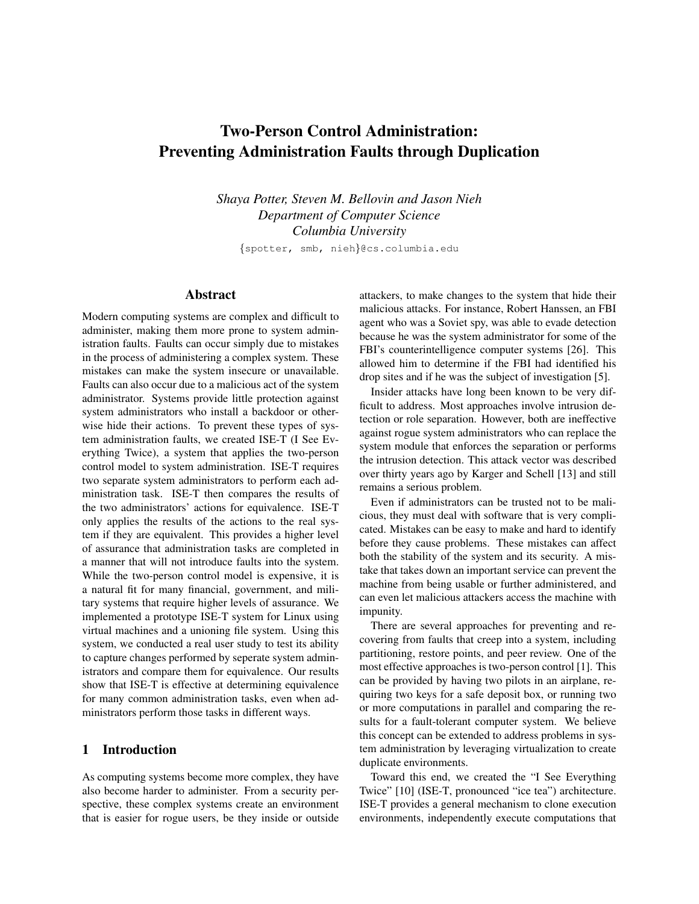# Two-Person Control Administration: Preventing Administration Faults through Duplication

*Shaya Potter, Steven M. Bellovin and Jason Nieh Department of Computer Science Columbia University*

{spotter, smb, nieh}@cs.columbia.edu

# Abstract

Modern computing systems are complex and difficult to administer, making them more prone to system administration faults. Faults can occur simply due to mistakes in the process of administering a complex system. These mistakes can make the system insecure or unavailable. Faults can also occur due to a malicious act of the system administrator. Systems provide little protection against system administrators who install a backdoor or otherwise hide their actions. To prevent these types of system administration faults, we created ISE-T (I See Everything Twice), a system that applies the two-person control model to system administration. ISE-T requires two separate system administrators to perform each administration task. ISE-T then compares the results of the two administrators' actions for equivalence. ISE-T only applies the results of the actions to the real system if they are equivalent. This provides a higher level of assurance that administration tasks are completed in a manner that will not introduce faults into the system. While the two-person control model is expensive, it is a natural fit for many financial, government, and military systems that require higher levels of assurance. We implemented a prototype ISE-T system for Linux using virtual machines and a unioning file system. Using this system, we conducted a real user study to test its ability to capture changes performed by seperate system administrators and compare them for equivalence. Our results show that ISE-T is effective at determining equivalence for many common administration tasks, even when administrators perform those tasks in different ways.

# 1 Introduction

As computing systems become more complex, they have also become harder to administer. From a security perspective, these complex systems create an environment that is easier for rogue users, be they inside or outside attackers, to make changes to the system that hide their malicious attacks. For instance, Robert Hanssen, an FBI agent who was a Soviet spy, was able to evade detection because he was the system administrator for some of the FBI's counterintelligence computer systems [\[26\]](#page-12-0). This allowed him to determine if the FBI had identified his drop sites and if he was the subject of investigation [\[5\]](#page-11-0).

Insider attacks have long been known to be very difficult to address. Most approaches involve intrusion detection or role separation. However, both are ineffective against rogue system administrators who can replace the system module that enforces the separation or performs the intrusion detection. This attack vector was described over thirty years ago by Karger and Schell [\[13\]](#page-11-1) and still remains a serious problem.

Even if administrators can be trusted not to be malicious, they must deal with software that is very complicated. Mistakes can be easy to make and hard to identify before they cause problems. These mistakes can affect both the stability of the system and its security. A mistake that takes down an important service can prevent the machine from being usable or further administered, and can even let malicious attackers access the machine with impunity.

There are several approaches for preventing and recovering from faults that creep into a system, including partitioning, restore points, and peer review. One of the most effective approaches is two-person control [\[1\]](#page-11-2). This can be provided by having two pilots in an airplane, requiring two keys for a safe deposit box, or running two or more computations in parallel and comparing the results for a fault-tolerant computer system. We believe this concept can be extended to address problems in system administration by leveraging virtualization to create duplicate environments.

Toward this end, we created the "I See Everything Twice" [\[10\]](#page-11-3) (ISE-T, pronounced "ice tea") architecture. ISE-T provides a general mechanism to clone execution environments, independently execute computations that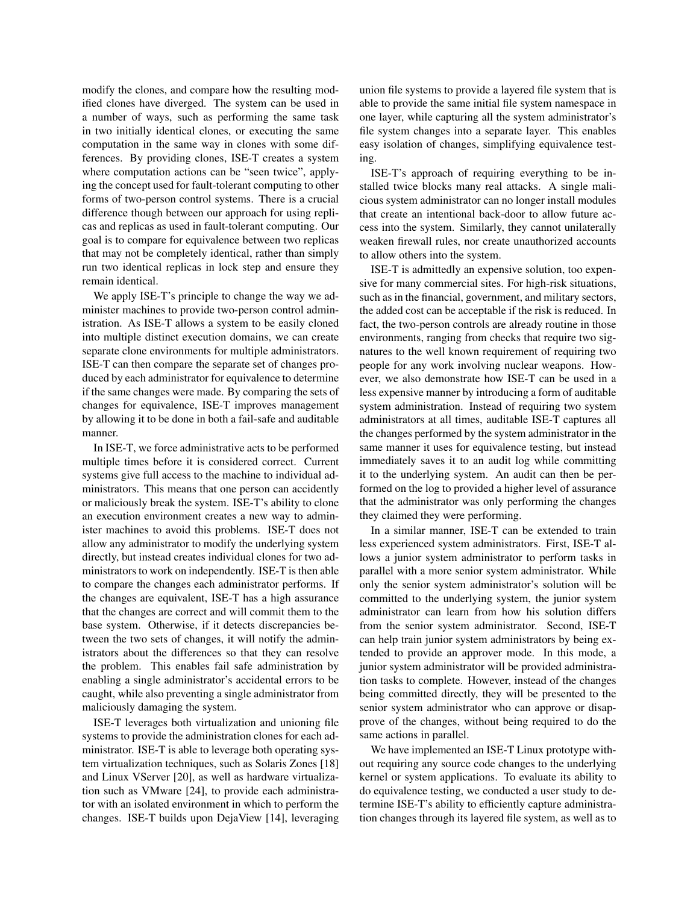modify the clones, and compare how the resulting modified clones have diverged. The system can be used in a number of ways, such as performing the same task in two initially identical clones, or executing the same computation in the same way in clones with some differences. By providing clones, ISE-T creates a system where computation actions can be "seen twice", applying the concept used for fault-tolerant computing to other forms of two-person control systems. There is a crucial difference though between our approach for using replicas and replicas as used in fault-tolerant computing. Our goal is to compare for equivalence between two replicas that may not be completely identical, rather than simply run two identical replicas in lock step and ensure they remain identical.

We apply ISE-T's principle to change the way we administer machines to provide two-person control administration. As ISE-T allows a system to be easily cloned into multiple distinct execution domains, we can create separate clone environments for multiple administrators. ISE-T can then compare the separate set of changes produced by each administrator for equivalence to determine if the same changes were made. By comparing the sets of changes for equivalence, ISE-T improves management by allowing it to be done in both a fail-safe and auditable manner.

In ISE-T, we force administrative acts to be performed multiple times before it is considered correct. Current systems give full access to the machine to individual administrators. This means that one person can accidently or maliciously break the system. ISE-T's ability to clone an execution environment creates a new way to administer machines to avoid this problems. ISE-T does not allow any administrator to modify the underlying system directly, but instead creates individual clones for two administrators to work on independently. ISE-T is then able to compare the changes each administrator performs. If the changes are equivalent, ISE-T has a high assurance that the changes are correct and will commit them to the base system. Otherwise, if it detects discrepancies between the two sets of changes, it will notify the administrators about the differences so that they can resolve the problem. This enables fail safe administration by enabling a single administrator's accidental errors to be caught, while also preventing a single administrator from maliciously damaging the system.

ISE-T leverages both virtualization and unioning file systems to provide the administration clones for each administrator. ISE-T is able to leverage both operating system virtualization techniques, such as Solaris Zones [\[18\]](#page-11-4) and Linux VServer [\[20\]](#page-12-1), as well as hardware virtualization such as VMware [\[24\]](#page-12-2), to provide each administrator with an isolated environment in which to perform the changes. ISE-T builds upon DejaView [\[14\]](#page-11-5), leveraging union file systems to provide a layered file system that is able to provide the same initial file system namespace in one layer, while capturing all the system administrator's file system changes into a separate layer. This enables easy isolation of changes, simplifying equivalence testing.

ISE-T's approach of requiring everything to be installed twice blocks many real attacks. A single malicious system administrator can no longer install modules that create an intentional back-door to allow future access into the system. Similarly, they cannot unilaterally weaken firewall rules, nor create unauthorized accounts to allow others into the system.

ISE-T is admittedly an expensive solution, too expensive for many commercial sites. For high-risk situations, such as in the financial, government, and military sectors, the added cost can be acceptable if the risk is reduced. In fact, the two-person controls are already routine in those environments, ranging from checks that require two signatures to the well known requirement of requiring two people for any work involving nuclear weapons. However, we also demonstrate how ISE-T can be used in a less expensive manner by introducing a form of auditable system administration. Instead of requiring two system administrators at all times, auditable ISE-T captures all the changes performed by the system administrator in the same manner it uses for equivalence testing, but instead immediately saves it to an audit log while committing it to the underlying system. An audit can then be performed on the log to provided a higher level of assurance that the administrator was only performing the changes they claimed they were performing.

In a similar manner, ISE-T can be extended to train less experienced system administrators. First, ISE-T allows a junior system administrator to perform tasks in parallel with a more senior system administrator. While only the senior system administrator's solution will be committed to the underlying system, the junior system administrator can learn from how his solution differs from the senior system administrator. Second, ISE-T can help train junior system administrators by being extended to provide an approver mode. In this mode, a junior system administrator will be provided administration tasks to complete. However, instead of the changes being committed directly, they will be presented to the senior system administrator who can approve or disapprove of the changes, without being required to do the same actions in parallel.

We have implemented an ISE-T Linux prototype without requiring any source code changes to the underlying kernel or system applications. To evaluate its ability to do equivalence testing, we conducted a user study to determine ISE-T's ability to efficiently capture administration changes through its layered file system, as well as to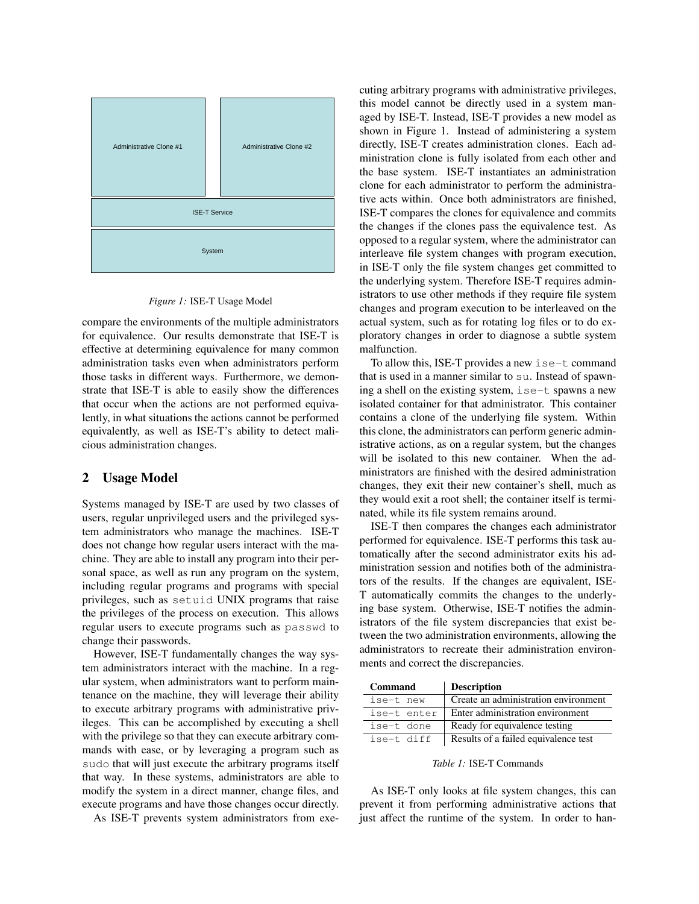

#### <span id="page-2-0"></span>*Figure 1:* ISE-T Usage Model

compare the environments of the multiple administrators for equivalence. Our results demonstrate that ISE-T is effective at determining equivalence for many common administration tasks even when administrators perform those tasks in different ways. Furthermore, we demonstrate that ISE-T is able to easily show the differences that occur when the actions are not performed equivalently, in what situations the actions cannot be performed equivalently, as well as ISE-T's ability to detect malicious administration changes.

#### 2 Usage Model

Systems managed by ISE-T are used by two classes of users, regular unprivileged users and the privileged system administrators who manage the machines. ISE-T does not change how regular users interact with the machine. They are able to install any program into their personal space, as well as run any program on the system, including regular programs and programs with special privileges, such as setuid UNIX programs that raise the privileges of the process on execution. This allows regular users to execute programs such as passwd to change their passwords.

However, ISE-T fundamentally changes the way system administrators interact with the machine. In a regular system, when administrators want to perform maintenance on the machine, they will leverage their ability to execute arbitrary programs with administrative privileges. This can be accomplished by executing a shell with the privilege so that they can execute arbitrary commands with ease, or by leveraging a program such as sudo that will just execute the arbitrary programs itself that way. In these systems, administrators are able to modify the system in a direct manner, change files, and execute programs and have those changes occur directly.

As ISE-T prevents system administrators from exe-

cuting arbitrary programs with administrative privileges, this model cannot be directly used in a system managed by ISE-T. Instead, ISE-T provides a new model as shown in Figure [1.](#page-2-0) Instead of administering a system directly, ISE-T creates administration clones. Each administration clone is fully isolated from each other and the base system. ISE-T instantiates an administration clone for each administrator to perform the administrative acts within. Once both administrators are finished, ISE-T compares the clones for equivalence and commits the changes if the clones pass the equivalence test. As opposed to a regular system, where the administrator can interleave file system changes with program execution, in ISE-T only the file system changes get committed to the underlying system. Therefore ISE-T requires administrators to use other methods if they require file system changes and program execution to be interleaved on the actual system, such as for rotating log files or to do exploratory changes in order to diagnose a subtle system malfunction.

To allow this, ISE-T provides a new ise-t command that is used in a manner similar to su. Instead of spawning a shell on the existing system, ise-t spawns a new isolated container for that administrator. This container contains a clone of the underlying file system. Within this clone, the administrators can perform generic administrative actions, as on a regular system, but the changes will be isolated to this new container. When the administrators are finished with the desired administration changes, they exit their new container's shell, much as they would exit a root shell; the container itself is terminated, while its file system remains around.

ISE-T then compares the changes each administrator performed for equivalence. ISE-T performs this task automatically after the second administrator exits his administration session and notifies both of the administrators of the results. If the changes are equivalent, ISE-T automatically commits the changes to the underlying base system. Otherwise, ISE-T notifies the administrators of the file system discrepancies that exist between the two administration environments, allowing the administrators to recreate their administration environments and correct the discrepancies.

| <b>Command</b> | <b>Description</b>                   |
|----------------|--------------------------------------|
| ise-t new      | Create an administration environment |
| ise-t enter    | Enter administration environment     |
| ise-t done     | Ready for equivalence testing        |
| ise-t diff     | Results of a failed equivalence test |

#### *Table 1:* ISE-T Commands

As ISE-T only looks at file system changes, this can prevent it from performing administrative actions that just affect the runtime of the system. In order to han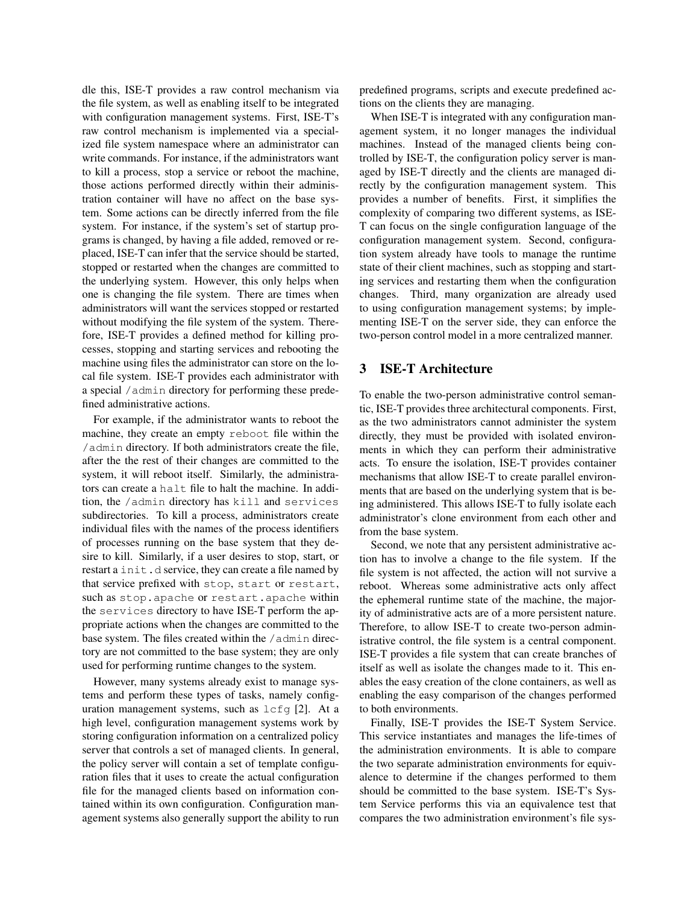dle this, ISE-T provides a raw control mechanism via the file system, as well as enabling itself to be integrated with configuration management systems. First, ISE-T's raw control mechanism is implemented via a specialized file system namespace where an administrator can write commands. For instance, if the administrators want to kill a process, stop a service or reboot the machine, those actions performed directly within their administration container will have no affect on the base system. Some actions can be directly inferred from the file system. For instance, if the system's set of startup programs is changed, by having a file added, removed or replaced, ISE-T can infer that the service should be started, stopped or restarted when the changes are committed to the underlying system. However, this only helps when one is changing the file system. There are times when administrators will want the services stopped or restarted without modifying the file system of the system. Therefore, ISE-T provides a defined method for killing processes, stopping and starting services and rebooting the machine using files the administrator can store on the local file system. ISE-T provides each administrator with a special /admin directory for performing these predefined administrative actions.

For example, if the administrator wants to reboot the machine, they create an empty reboot file within the /admin directory. If both administrators create the file, after the the rest of their changes are committed to the system, it will reboot itself. Similarly, the administrators can create a halt file to halt the machine. In addition, the /admin directory has kill and services subdirectories. To kill a process, administrators create individual files with the names of the process identifiers of processes running on the base system that they desire to kill. Similarly, if a user desires to stop, start, or restart a init.d service, they can create a file named by that service prefixed with stop, start or restart, such as stop.apache or restart.apache within the services directory to have ISE-T perform the appropriate actions when the changes are committed to the base system. The files created within the /admin directory are not committed to the base system; they are only used for performing runtime changes to the system.

However, many systems already exist to manage systems and perform these types of tasks, namely configuration management systems, such as lcfg [\[2\]](#page-11-6). At a high level, configuration management systems work by storing configuration information on a centralized policy server that controls a set of managed clients. In general, the policy server will contain a set of template configuration files that it uses to create the actual configuration file for the managed clients based on information contained within its own configuration. Configuration management systems also generally support the ability to run predefined programs, scripts and execute predefined actions on the clients they are managing.

When ISE-T is integrated with any configuration management system, it no longer manages the individual machines. Instead of the managed clients being controlled by ISE-T, the configuration policy server is managed by ISE-T directly and the clients are managed directly by the configuration management system. This provides a number of benefits. First, it simplifies the complexity of comparing two different systems, as ISE-T can focus on the single configuration language of the configuration management system. Second, configuration system already have tools to manage the runtime state of their client machines, such as stopping and starting services and restarting them when the configuration changes. Third, many organization are already used to using configuration management systems; by implementing ISE-T on the server side, they can enforce the two-person control model in a more centralized manner.

## 3 ISE-T Architecture

To enable the two-person administrative control semantic, ISE-T provides three architectural components. First, as the two administrators cannot administer the system directly, they must be provided with isolated environments in which they can perform their administrative acts. To ensure the isolation, ISE-T provides container mechanisms that allow ISE-T to create parallel environments that are based on the underlying system that is being administered. This allows ISE-T to fully isolate each administrator's clone environment from each other and from the base system.

Second, we note that any persistent administrative action has to involve a change to the file system. If the file system is not affected, the action will not survive a reboot. Whereas some administrative acts only affect the ephemeral runtime state of the machine, the majority of administrative acts are of a more persistent nature. Therefore, to allow ISE-T to create two-person administrative control, the file system is a central component. ISE-T provides a file system that can create branches of itself as well as isolate the changes made to it. This enables the easy creation of the clone containers, as well as enabling the easy comparison of the changes performed to both environments.

Finally, ISE-T provides the ISE-T System Service. This service instantiates and manages the life-times of the administration environments. It is able to compare the two separate administration environments for equivalence to determine if the changes performed to them should be committed to the base system. ISE-T's System Service performs this via an equivalence test that compares the two administration environment's file sys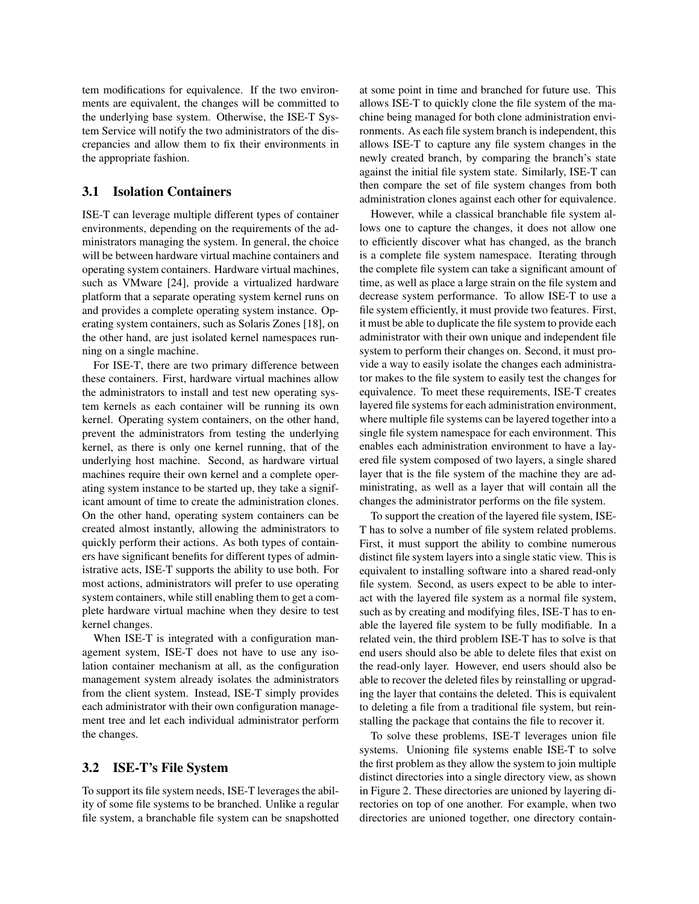tem modifications for equivalence. If the two environments are equivalent, the changes will be committed to the underlying base system. Otherwise, the ISE-T System Service will notify the two administrators of the discrepancies and allow them to fix their environments in the appropriate fashion.

# 3.1 Isolation Containers

ISE-T can leverage multiple different types of container environments, depending on the requirements of the administrators managing the system. In general, the choice will be between hardware virtual machine containers and operating system containers. Hardware virtual machines, such as VMware [\[24\]](#page-12-2), provide a virtualized hardware platform that a separate operating system kernel runs on and provides a complete operating system instance. Operating system containers, such as Solaris Zones [\[18\]](#page-11-4), on the other hand, are just isolated kernel namespaces running on a single machine.

For ISE-T, there are two primary difference between these containers. First, hardware virtual machines allow the administrators to install and test new operating system kernels as each container will be running its own kernel. Operating system containers, on the other hand, prevent the administrators from testing the underlying kernel, as there is only one kernel running, that of the underlying host machine. Second, as hardware virtual machines require their own kernel and a complete operating system instance to be started up, they take a significant amount of time to create the administration clones. On the other hand, operating system containers can be created almost instantly, allowing the administrators to quickly perform their actions. As both types of containers have significant benefits for different types of administrative acts, ISE-T supports the ability to use both. For most actions, administrators will prefer to use operating system containers, while still enabling them to get a complete hardware virtual machine when they desire to test kernel changes.

When ISE-T is integrated with a configuration management system, ISE-T does not have to use any isolation container mechanism at all, as the configuration management system already isolates the administrators from the client system. Instead, ISE-T simply provides each administrator with their own configuration management tree and let each individual administrator perform the changes.

#### 3.2 ISE-T's File System

To support its file system needs, ISE-T leverages the ability of some file systems to be branched. Unlike a regular file system, a branchable file system can be snapshotted at some point in time and branched for future use. This allows ISE-T to quickly clone the file system of the machine being managed for both clone administration environments. As each file system branch is independent, this allows ISE-T to capture any file system changes in the newly created branch, by comparing the branch's state against the initial file system state. Similarly, ISE-T can then compare the set of file system changes from both administration clones against each other for equivalence.

However, while a classical branchable file system allows one to capture the changes, it does not allow one to efficiently discover what has changed, as the branch is a complete file system namespace. Iterating through the complete file system can take a significant amount of time, as well as place a large strain on the file system and decrease system performance. To allow ISE-T to use a file system efficiently, it must provide two features. First, it must be able to duplicate the file system to provide each administrator with their own unique and independent file system to perform their changes on. Second, it must provide a way to easily isolate the changes each administrator makes to the file system to easily test the changes for equivalence. To meet these requirements, ISE-T creates layered file systems for each administration environment, where multiple file systems can be layered together into a single file system namespace for each environment. This enables each administration environment to have a layered file system composed of two layers, a single shared layer that is the file system of the machine they are administrating, as well as a layer that will contain all the changes the administrator performs on the file system.

To support the creation of the layered file system, ISE-T has to solve a number of file system related problems. First, it must support the ability to combine numerous distinct file system layers into a single static view. This is equivalent to installing software into a shared read-only file system. Second, as users expect to be able to interact with the layered file system as a normal file system, such as by creating and modifying files, ISE-T has to enable the layered file system to be fully modifiable. In a related vein, the third problem ISE-T has to solve is that end users should also be able to delete files that exist on the read-only layer. However, end users should also be able to recover the deleted files by reinstalling or upgrading the layer that contains the deleted. This is equivalent to deleting a file from a traditional file system, but reinstalling the package that contains the file to recover it.

To solve these problems, ISE-T leverages union file systems. Unioning file systems enable ISE-T to solve the first problem as they allow the system to join multiple distinct directories into a single directory view, as shown in Figure [2.](#page-5-0) These directories are unioned by layering directories on top of one another. For example, when two directories are unioned together, one directory contain-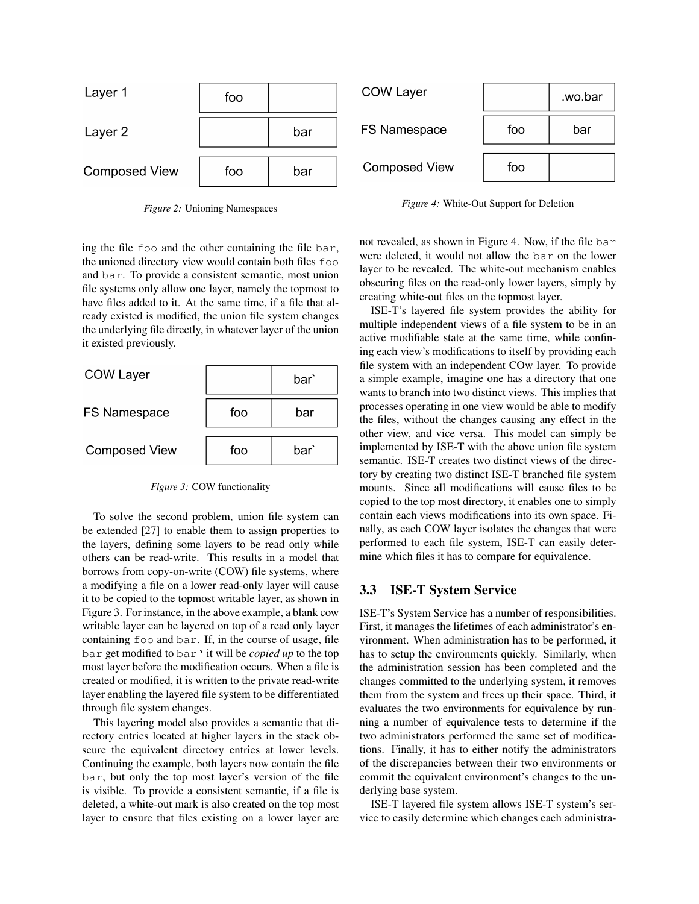

<span id="page-5-0"></span>*Figure 2:* Unioning Namespaces

ing the file foo and the other containing the file bar, the unioned directory view would contain both files foo and bar. To provide a consistent semantic, most union file systems only allow one layer, namely the topmost to have files added to it. At the same time, if a file that already existed is modified, the union file system changes the underlying file directly, in whatever layer of the union it existed previously.

| <b>COW Layer</b>     |     | bar` |
|----------------------|-----|------|
| <b>FS Namespace</b>  | foo | bar  |
| <b>Composed View</b> | foo | bari |

<span id="page-5-1"></span>*Figure 3:* COW functionality

To solve the second problem, union file system can be extended [\[27\]](#page-12-3) to enable them to assign properties to the layers, defining some layers to be read only while others can be read-write. This results in a model that borrows from copy-on-write (COW) file systems, where a modifying a file on a lower read-only layer will cause it to be copied to the topmost writable layer, as shown in Figure [3.](#page-5-1) For instance, in the above example, a blank cow writable layer can be layered on top of a read only layer containing foo and bar. If, in the course of usage, file bar get modified to bar' it will be *copied up* to the top most layer before the modification occurs. When a file is created or modified, it is written to the private read-write layer enabling the layered file system to be differentiated through file system changes.

This layering model also provides a semantic that directory entries located at higher layers in the stack obscure the equivalent directory entries at lower levels. Continuing the example, both layers now contain the file bar, but only the top most layer's version of the file is visible. To provide a consistent semantic, if a file is deleted, a white-out mark is also created on the top most layer to ensure that files existing on a lower layer are

<span id="page-5-2"></span>*Figure 4:* White-Out Support for Deletion

not revealed, as shown in Figure [4.](#page-5-2) Now, if the file bar were deleted, it would not allow the bar on the lower layer to be revealed. The white-out mechanism enables obscuring files on the read-only lower layers, simply by creating white-out files on the topmost layer.

ISE-T's layered file system provides the ability for multiple independent views of a file system to be in an active modifiable state at the same time, while confining each view's modifications to itself by providing each file system with an independent COw layer. To provide a simple example, imagine one has a directory that one wants to branch into two distinct views. This implies that processes operating in one view would be able to modify the files, without the changes causing any effect in the other view, and vice versa. This model can simply be implemented by ISE-T with the above union file system semantic. ISE-T creates two distinct views of the directory by creating two distinct ISE-T branched file system mounts. Since all modifications will cause files to be copied to the top most directory, it enables one to simply contain each views modifications into its own space. Finally, as each COW layer isolates the changes that were performed to each file system, ISE-T can easily determine which files it has to compare for equivalence.

# <span id="page-5-3"></span>3.3 ISE-T System Service

ISE-T's System Service has a number of responsibilities. First, it manages the lifetimes of each administrator's environment. When administration has to be performed, it has to setup the environments quickly. Similarly, when the administration session has been completed and the changes committed to the underlying system, it removes them from the system and frees up their space. Third, it evaluates the two environments for equivalence by running a number of equivalence tests to determine if the two administrators performed the same set of modifications. Finally, it has to either notify the administrators of the discrepancies between their two environments or commit the equivalent environment's changes to the underlying base system.

ISE-T layered file system allows ISE-T system's service to easily determine which changes each administra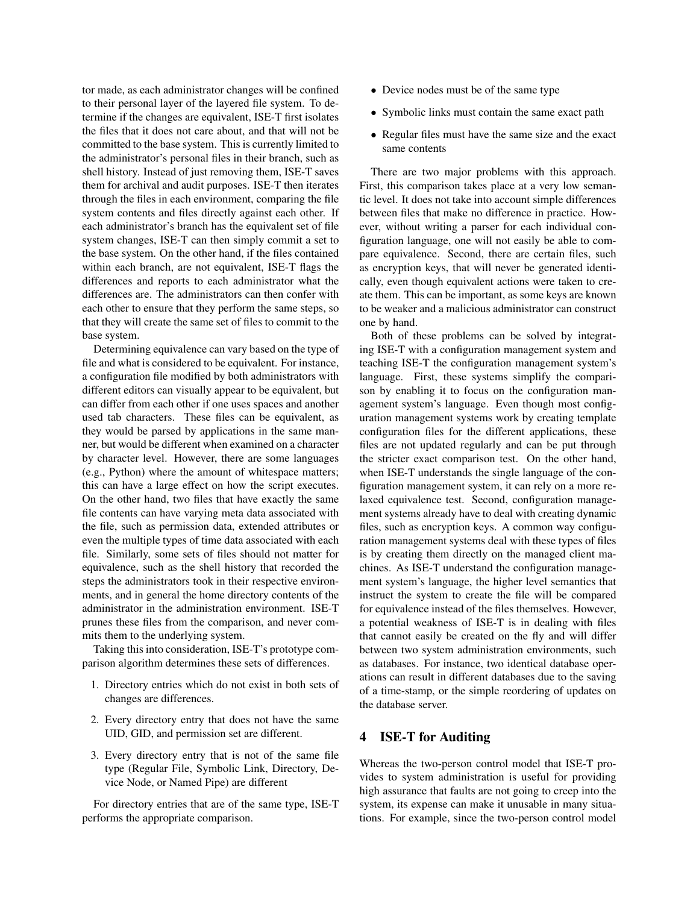tor made, as each administrator changes will be confined to their personal layer of the layered file system. To determine if the changes are equivalent, ISE-T first isolates the files that it does not care about, and that will not be committed to the base system. This is currently limited to the administrator's personal files in their branch, such as shell history. Instead of just removing them, ISE-T saves them for archival and audit purposes. ISE-T then iterates through the files in each environment, comparing the file system contents and files directly against each other. If each administrator's branch has the equivalent set of file system changes, ISE-T can then simply commit a set to the base system. On the other hand, if the files contained within each branch, are not equivalent, ISE-T flags the differences and reports to each administrator what the differences are. The administrators can then confer with each other to ensure that they perform the same steps, so that they will create the same set of files to commit to the base system.

Determining equivalence can vary based on the type of file and what is considered to be equivalent. For instance, a configuration file modified by both administrators with different editors can visually appear to be equivalent, but can differ from each other if one uses spaces and another used tab characters. These files can be equivalent, as they would be parsed by applications in the same manner, but would be different when examined on a character by character level. However, there are some languages (e.g., Python) where the amount of whitespace matters; this can have a large effect on how the script executes. On the other hand, two files that have exactly the same file contents can have varying meta data associated with the file, such as permission data, extended attributes or even the multiple types of time data associated with each file. Similarly, some sets of files should not matter for equivalence, such as the shell history that recorded the steps the administrators took in their respective environments, and in general the home directory contents of the administrator in the administration environment. ISE-T prunes these files from the comparison, and never commits them to the underlying system.

Taking this into consideration, ISE-T's prototype comparison algorithm determines these sets of differences.

- 1. Directory entries which do not exist in both sets of changes are differences.
- 2. Every directory entry that does not have the same UID, GID, and permission set are different.
- 3. Every directory entry that is not of the same file type (Regular File, Symbolic Link, Directory, Device Node, or Named Pipe) are different

For directory entries that are of the same type, ISE-T performs the appropriate comparison.

- Device nodes must be of the same type
- Symbolic links must contain the same exact path
- Regular files must have the same size and the exact same contents

There are two major problems with this approach. First, this comparison takes place at a very low semantic level. It does not take into account simple differences between files that make no difference in practice. However, without writing a parser for each individual configuration language, one will not easily be able to compare equivalence. Second, there are certain files, such as encryption keys, that will never be generated identically, even though equivalent actions were taken to create them. This can be important, as some keys are known to be weaker and a malicious administrator can construct one by hand.

Both of these problems can be solved by integrating ISE-T with a configuration management system and teaching ISE-T the configuration management system's language. First, these systems simplify the comparison by enabling it to focus on the configuration management system's language. Even though most configuration management systems work by creating template configuration files for the different applications, these files are not updated regularly and can be put through the stricter exact comparison test. On the other hand, when ISE-T understands the single language of the configuration management system, it can rely on a more relaxed equivalence test. Second, configuration management systems already have to deal with creating dynamic files, such as encryption keys. A common way configuration management systems deal with these types of files is by creating them directly on the managed client machines. As ISE-T understand the configuration management system's language, the higher level semantics that instruct the system to create the file will be compared for equivalence instead of the files themselves. However, a potential weakness of ISE-T is in dealing with files that cannot easily be created on the fly and will differ between two system administration environments, such as databases. For instance, two identical database operations can result in different databases due to the saving of a time-stamp, or the simple reordering of updates on the database server.

#### 4 ISE-T for Auditing

Whereas the two-person control model that ISE-T provides to system administration is useful for providing high assurance that faults are not going to creep into the system, its expense can make it unusable in many situations. For example, since the two-person control model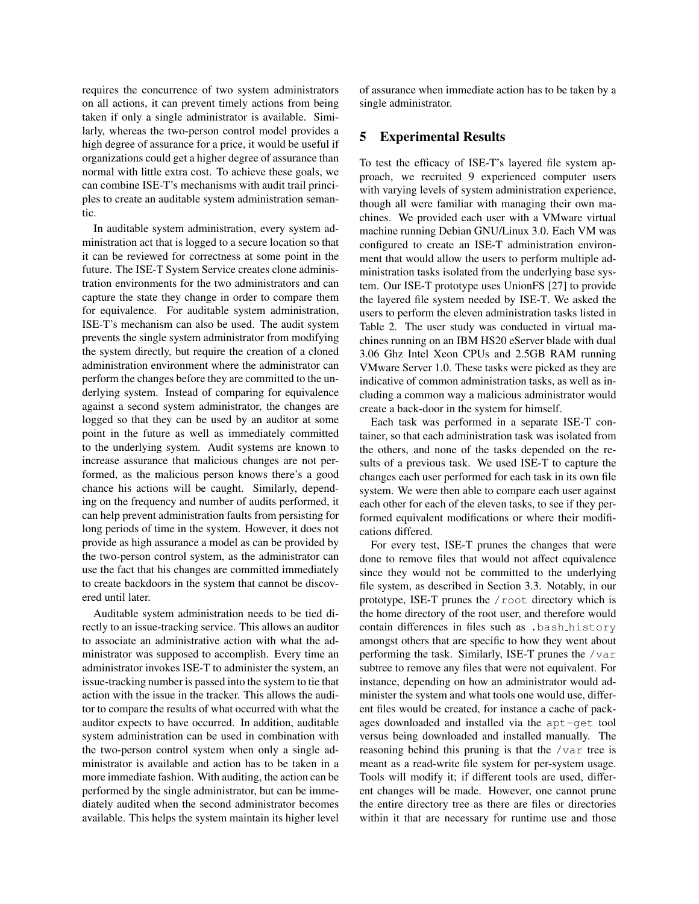requires the concurrence of two system administrators on all actions, it can prevent timely actions from being taken if only a single administrator is available. Similarly, whereas the two-person control model provides a high degree of assurance for a price, it would be useful if organizations could get a higher degree of assurance than normal with little extra cost. To achieve these goals, we can combine ISE-T's mechanisms with audit trail principles to create an auditable system administration semantic.

In auditable system administration, every system administration act that is logged to a secure location so that it can be reviewed for correctness at some point in the future. The ISE-T System Service creates clone administration environments for the two administrators and can capture the state they change in order to compare them for equivalence. For auditable system administration, ISE-T's mechanism can also be used. The audit system prevents the single system administrator from modifying the system directly, but require the creation of a cloned administration environment where the administrator can perform the changes before they are committed to the underlying system. Instead of comparing for equivalence against a second system administrator, the changes are logged so that they can be used by an auditor at some point in the future as well as immediately committed to the underlying system. Audit systems are known to increase assurance that malicious changes are not performed, as the malicious person knows there's a good chance his actions will be caught. Similarly, depending on the frequency and number of audits performed, it can help prevent administration faults from persisting for long periods of time in the system. However, it does not provide as high assurance a model as can be provided by the two-person control system, as the administrator can use the fact that his changes are committed immediately to create backdoors in the system that cannot be discovered until later.

Auditable system administration needs to be tied directly to an issue-tracking service. This allows an auditor to associate an administrative action with what the administrator was supposed to accomplish. Every time an administrator invokes ISE-T to administer the system, an issue-tracking number is passed into the system to tie that action with the issue in the tracker. This allows the auditor to compare the results of what occurred with what the auditor expects to have occurred. In addition, auditable system administration can be used in combination with the two-person control system when only a single administrator is available and action has to be taken in a more immediate fashion. With auditing, the action can be performed by the single administrator, but can be immediately audited when the second administrator becomes available. This helps the system maintain its higher level of assurance when immediate action has to be taken by a single administrator.

# 5 Experimental Results

To test the efficacy of ISE-T's layered file system approach, we recruited 9 experienced computer users with varying levels of system administration experience, though all were familiar with managing their own machines. We provided each user with a VMware virtual machine running Debian GNU/Linux 3.0. Each VM was configured to create an ISE-T administration environment that would allow the users to perform multiple administration tasks isolated from the underlying base system. Our ISE-T prototype uses UnionFS [\[27\]](#page-12-3) to provide the layered file system needed by ISE-T. We asked the users to perform the eleven administration tasks listed in Table [2.](#page-8-0) The user study was conducted in virtual machines running on an IBM HS20 eServer blade with dual 3.06 Ghz Intel Xeon CPUs and 2.5GB RAM running VMware Server 1.0. These tasks were picked as they are indicative of common administration tasks, as well as including a common way a malicious administrator would create a back-door in the system for himself.

Each task was performed in a separate ISE-T container, so that each administration task was isolated from the others, and none of the tasks depended on the results of a previous task. We used ISE-T to capture the changes each user performed for each task in its own file system. We were then able to compare each user against each other for each of the eleven tasks, to see if they performed equivalent modifications or where their modifications differed.

For every test, ISE-T prunes the changes that were done to remove files that would not affect equivalence since they would not be committed to the underlying file system, as described in Section [3.3.](#page-5-3) Notably, in our prototype, ISE-T prunes the /root directory which is the home directory of the root user, and therefore would contain differences in files such as .bash history amongst others that are specific to how they went about performing the task. Similarly, ISE-T prunes the  $/\text{var}$ subtree to remove any files that were not equivalent. For instance, depending on how an administrator would administer the system and what tools one would use, different files would be created, for instance a cache of packages downloaded and installed via the apt-get tool versus being downloaded and installed manually. The reasoning behind this pruning is that the /var tree is meant as a read-write file system for per-system usage. Tools will modify it; if different tools are used, different changes will be made. However, one cannot prune the entire directory tree as there are files or directories within it that are necessary for runtime use and those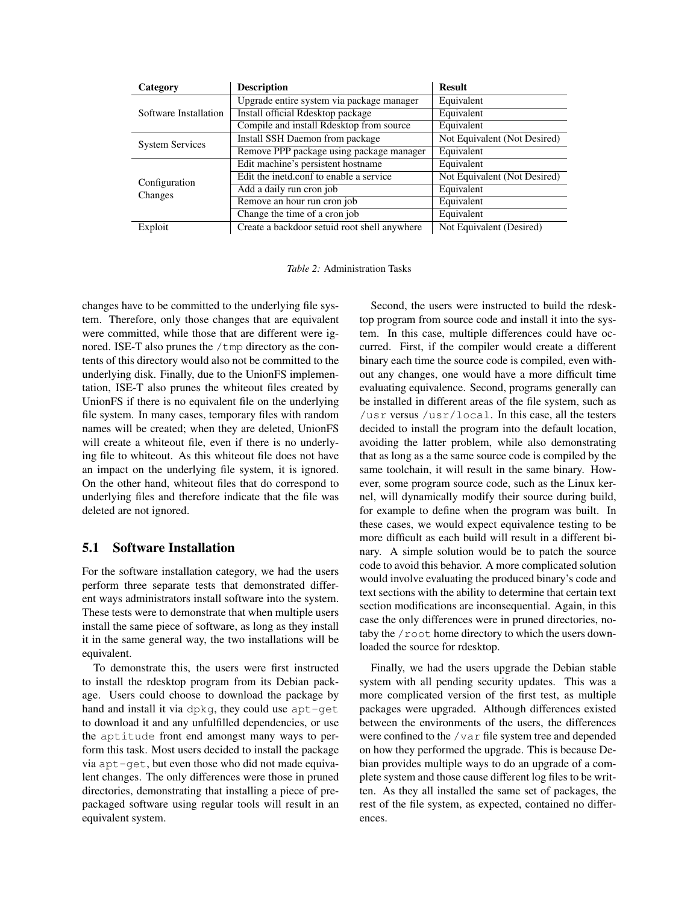| Category                 | <b>Description</b>                           | <b>Result</b>                |
|--------------------------|----------------------------------------------|------------------------------|
| Software Installation    | Upgrade entire system via package manager    | Equivalent                   |
|                          | Install official Rdesktop package            | Equivalent                   |
|                          | Compile and install Rdesktop from source     | Equivalent                   |
| <b>System Services</b>   | Install SSH Daemon from package              | Not Equivalent (Not Desired) |
|                          | Remove PPP package using package manager     | Equivalent                   |
| Configuration<br>Changes | Edit machine's persistent hostname           | Equivalent                   |
|                          | Edit the inetd.conf to enable a service      | Not Equivalent (Not Desired) |
|                          | Add a daily run cron job                     | Equivalent                   |
|                          | Remove an hour run cron job                  | Equivalent                   |
|                          | Change the time of a cron job                | Equivalent                   |
| Exploit                  | Create a backdoor setuid root shell anywhere | Not Equivalent (Desired)     |

<span id="page-8-0"></span>*Table 2:* Administration Tasks

changes have to be committed to the underlying file system. Therefore, only those changes that are equivalent were committed, while those that are different were ignored. ISE-T also prunes the  $/\text{tmp}$  directory as the contents of this directory would also not be committed to the underlying disk. Finally, due to the UnionFS implementation, ISE-T also prunes the whiteout files created by UnionFS if there is no equivalent file on the underlying file system. In many cases, temporary files with random names will be created; when they are deleted, UnionFS will create a whiteout file, even if there is no underlying file to whiteout. As this whiteout file does not have an impact on the underlying file system, it is ignored. On the other hand, whiteout files that do correspond to underlying files and therefore indicate that the file was deleted are not ignored.

# 5.1 Software Installation

For the software installation category, we had the users perform three separate tests that demonstrated different ways administrators install software into the system. These tests were to demonstrate that when multiple users install the same piece of software, as long as they install it in the same general way, the two installations will be equivalent.

To demonstrate this, the users were first instructed to install the rdesktop program from its Debian package. Users could choose to download the package by hand and install it via dpkg, they could use apt-get to download it and any unfulfilled dependencies, or use the aptitude front end amongst many ways to perform this task. Most users decided to install the package via apt-get, but even those who did not made equivalent changes. The only differences were those in pruned directories, demonstrating that installing a piece of prepackaged software using regular tools will result in an equivalent system.

Second, the users were instructed to build the rdesktop program from source code and install it into the system. In this case, multiple differences could have occurred. First, if the compiler would create a different binary each time the source code is compiled, even without any changes, one would have a more difficult time evaluating equivalence. Second, programs generally can be installed in different areas of the file system, such as /usr versus /usr/local. In this case, all the testers decided to install the program into the default location, avoiding the latter problem, while also demonstrating that as long as a the same source code is compiled by the same toolchain, it will result in the same binary. However, some program source code, such as the Linux kernel, will dynamically modify their source during build, for example to define when the program was built. In these cases, we would expect equivalence testing to be more difficult as each build will result in a different binary. A simple solution would be to patch the source code to avoid this behavior. A more complicated solution would involve evaluating the produced binary's code and text sections with the ability to determine that certain text section modifications are inconsequential. Again, in this case the only differences were in pruned directories, notaby the /root home directory to which the users downloaded the source for rdesktop.

Finally, we had the users upgrade the Debian stable system with all pending security updates. This was a more complicated version of the first test, as multiple packages were upgraded. Although differences existed between the environments of the users, the differences were confined to the /var file system tree and depended on how they performed the upgrade. This is because Debian provides multiple ways to do an upgrade of a complete system and those cause different log files to be written. As they all installed the same set of packages, the rest of the file system, as expected, contained no differences.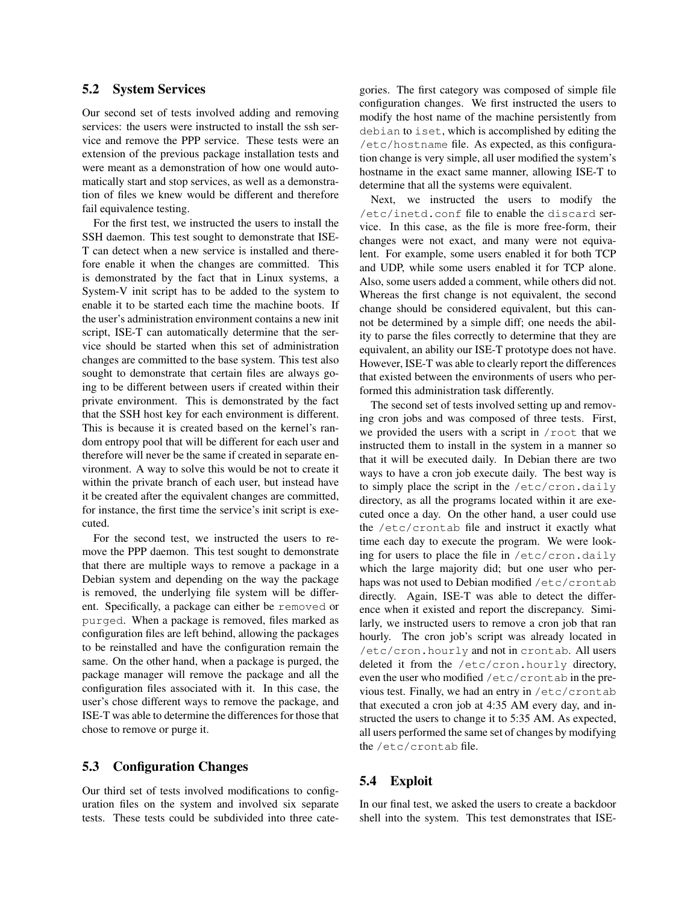## 5.2 System Services

Our second set of tests involved adding and removing services: the users were instructed to install the ssh service and remove the PPP service. These tests were an extension of the previous package installation tests and were meant as a demonstration of how one would automatically start and stop services, as well as a demonstration of files we knew would be different and therefore fail equivalence testing.

For the first test, we instructed the users to install the SSH daemon. This test sought to demonstrate that ISE-T can detect when a new service is installed and therefore enable it when the changes are committed. This is demonstrated by the fact that in Linux systems, a System-V init script has to be added to the system to enable it to be started each time the machine boots. If the user's administration environment contains a new init script, ISE-T can automatically determine that the service should be started when this set of administration changes are committed to the base system. This test also sought to demonstrate that certain files are always going to be different between users if created within their private environment. This is demonstrated by the fact that the SSH host key for each environment is different. This is because it is created based on the kernel's random entropy pool that will be different for each user and therefore will never be the same if created in separate environment. A way to solve this would be not to create it within the private branch of each user, but instead have it be created after the equivalent changes are committed, for instance, the first time the service's init script is executed.

For the second test, we instructed the users to remove the PPP daemon. This test sought to demonstrate that there are multiple ways to remove a package in a Debian system and depending on the way the package is removed, the underlying file system will be different. Specifically, a package can either be removed or purged. When a package is removed, files marked as configuration files are left behind, allowing the packages to be reinstalled and have the configuration remain the same. On the other hand, when a package is purged, the package manager will remove the package and all the configuration files associated with it. In this case, the user's chose different ways to remove the package, and ISE-T was able to determine the differences for those that chose to remove or purge it.

# 5.3 Configuration Changes

Our third set of tests involved modifications to configuration files on the system and involved six separate tests. These tests could be subdivided into three categories. The first category was composed of simple file configuration changes. We first instructed the users to modify the host name of the machine persistently from debian to iset, which is accomplished by editing the /etc/hostname file. As expected, as this configuration change is very simple, all user modified the system's hostname in the exact same manner, allowing ISE-T to determine that all the systems were equivalent.

Next, we instructed the users to modify the /etc/inetd.conf file to enable the discard service. In this case, as the file is more free-form, their changes were not exact, and many were not equivalent. For example, some users enabled it for both TCP and UDP, while some users enabled it for TCP alone. Also, some users added a comment, while others did not. Whereas the first change is not equivalent, the second change should be considered equivalent, but this cannot be determined by a simple diff; one needs the ability to parse the files correctly to determine that they are equivalent, an ability our ISE-T prototype does not have. However, ISE-T was able to clearly report the differences that existed between the environments of users who performed this administration task differently.

The second set of tests involved setting up and removing cron jobs and was composed of three tests. First, we provided the users with a script in /root that we instructed them to install in the system in a manner so that it will be executed daily. In Debian there are two ways to have a cron job execute daily. The best way is to simply place the script in the /etc/cron.daily directory, as all the programs located within it are executed once a day. On the other hand, a user could use the /etc/crontab file and instruct it exactly what time each day to execute the program. We were looking for users to place the file in /etc/cron.daily which the large majority did; but one user who perhaps was not used to Debian modified /etc/crontab directly. Again, ISE-T was able to detect the difference when it existed and report the discrepancy. Similarly, we instructed users to remove a cron job that ran hourly. The cron job's script was already located in /etc/cron.hourly and not in crontab. All users deleted it from the /etc/cron.hourly directory, even the user who modified /etc/crontab in the previous test. Finally, we had an entry in /etc/crontab that executed a cron job at 4:35 AM every day, and instructed the users to change it to 5:35 AM. As expected, all users performed the same set of changes by modifying the /etc/crontab file.

# 5.4 Exploit

In our final test, we asked the users to create a backdoor shell into the system. This test demonstrates that ISE-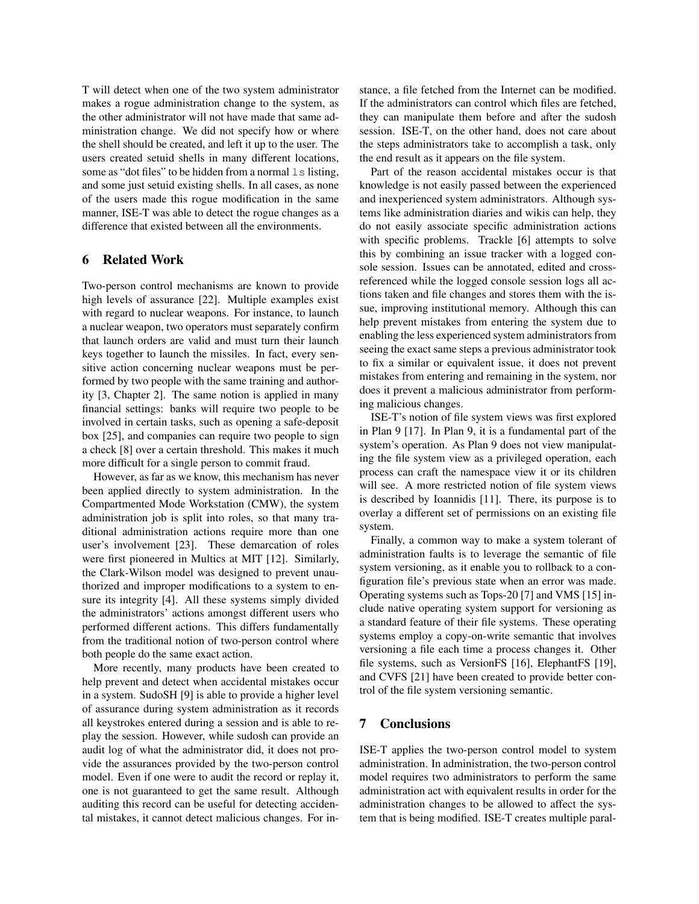T will detect when one of the two system administrator makes a rogue administration change to the system, as the other administrator will not have made that same administration change. We did not specify how or where the shell should be created, and left it up to the user. The users created setuid shells in many different locations, some as "dot files" to be hidden from a normal  $\perp$ s listing, and some just setuid existing shells. In all cases, as none of the users made this rogue modification in the same manner, ISE-T was able to detect the rogue changes as a difference that existed between all the environments.

### 6 Related Work

Two-person control mechanisms are known to provide high levels of assurance [\[22\]](#page-12-4). Multiple examples exist with regard to nuclear weapons. For instance, to launch a nuclear weapon, two operators must separately confirm that launch orders are valid and must turn their launch keys together to launch the missiles. In fact, every sensitive action concerning nuclear weapons must be performed by two people with the same training and authority [\[3,](#page-11-7) Chapter 2]. The same notion is applied in many financial settings: banks will require two people to be involved in certain tasks, such as opening a safe-deposit box [\[25\]](#page-12-5), and companies can require two people to sign a check [\[8\]](#page-11-8) over a certain threshold. This makes it much more difficult for a single person to commit fraud.

However, as far as we know, this mechanism has never been applied directly to system administration. In the Compartmented Mode Workstation (CMW), the system administration job is split into roles, so that many traditional administration actions require more than one user's involvement [\[23\]](#page-12-6). These demarcation of roles were first pioneered in Multics at MIT [\[12\]](#page-11-9). Similarly, the Clark-Wilson model was designed to prevent unauthorized and improper modifications to a system to ensure its integrity [\[4\]](#page-11-10). All these systems simply divided the administrators' actions amongst different users who performed different actions. This differs fundamentally from the traditional notion of two-person control where both people do the same exact action.

More recently, many products have been created to help prevent and detect when accidental mistakes occur in a system. SudoSH [\[9\]](#page-11-11) is able to provide a higher level of assurance during system administration as it records all keystrokes entered during a session and is able to replay the session. However, while sudosh can provide an audit log of what the administrator did, it does not provide the assurances provided by the two-person control model. Even if one were to audit the record or replay it, one is not guaranteed to get the same result. Although auditing this record can be useful for detecting accidental mistakes, it cannot detect malicious changes. For instance, a file fetched from the Internet can be modified. If the administrators can control which files are fetched, they can manipulate them before and after the sudosh session. ISE-T, on the other hand, does not care about the steps administrators take to accomplish a task, only the end result as it appears on the file system.

Part of the reason accidental mistakes occur is that knowledge is not easily passed between the experienced and inexperienced system administrators. Although systems like administration diaries and wikis can help, they do not easily associate specific administration actions with specific problems. Trackle [\[6\]](#page-11-12) attempts to solve this by combining an issue tracker with a logged console session. Issues can be annotated, edited and crossreferenced while the logged console session logs all actions taken and file changes and stores them with the issue, improving institutional memory. Although this can help prevent mistakes from entering the system due to enabling the less experienced system administrators from seeing the exact same steps a previous administrator took to fix a similar or equivalent issue, it does not prevent mistakes from entering and remaining in the system, nor does it prevent a malicious administrator from performing malicious changes.

ISE-T's notion of file system views was first explored in Plan 9 [\[17\]](#page-11-13). In Plan 9, it is a fundamental part of the system's operation. As Plan 9 does not view manipulating the file system view as a privileged operation, each process can craft the namespace view it or its children will see. A more restricted notion of file system views is described by Ioannidis [\[11\]](#page-11-14). There, its purpose is to overlay a different set of permissions on an existing file system.

Finally, a common way to make a system tolerant of administration faults is to leverage the semantic of file system versioning, as it enable you to rollback to a configuration file's previous state when an error was made. Operating systems such as Tops-20 [\[7\]](#page-11-15) and VMS [\[15\]](#page-11-16) include native operating system support for versioning as a standard feature of their file systems. These operating systems employ a copy-on-write semantic that involves versioning a file each time a process changes it. Other file systems, such as VersionFS [\[16\]](#page-11-17), ElephantFS [\[19\]](#page-11-18), and CVFS [\[21\]](#page-12-7) have been created to provide better control of the file system versioning semantic.

#### 7 Conclusions

ISE-T applies the two-person control model to system administration. In administration, the two-person control model requires two administrators to perform the same administration act with equivalent results in order for the administration changes to be allowed to affect the system that is being modified. ISE-T creates multiple paral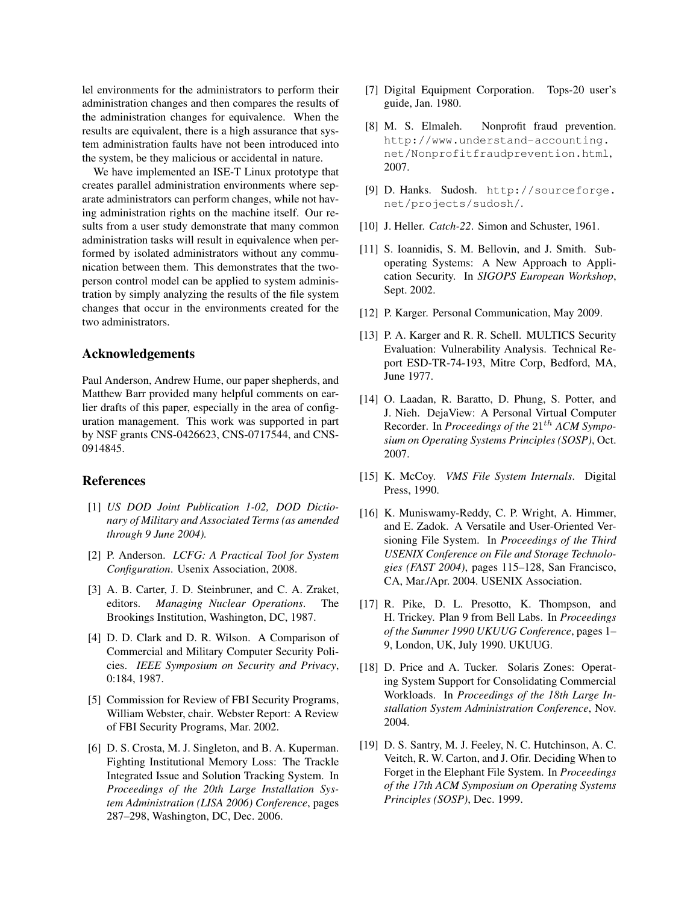lel environments for the administrators to perform their administration changes and then compares the results of the administration changes for equivalence. When the results are equivalent, there is a high assurance that system administration faults have not been introduced into the system, be they malicious or accidental in nature.

We have implemented an ISE-T Linux prototype that creates parallel administration environments where separate administrators can perform changes, while not having administration rights on the machine itself. Our results from a user study demonstrate that many common administration tasks will result in equivalence when performed by isolated administrators without any communication between them. This demonstrates that the twoperson control model can be applied to system administration by simply analyzing the results of the file system changes that occur in the environments created for the two administrators.

## Acknowledgements

Paul Anderson, Andrew Hume, our paper shepherds, and Matthew Barr provided many helpful comments on earlier drafts of this paper, especially in the area of configuration management. This work was supported in part by NSF grants CNS-0426623, CNS-0717544, and CNS-0914845.

#### References

- <span id="page-11-2"></span>[1] *US DOD Joint Publication 1-02, DOD Dictionary of Military and Associated Terms (as amended through 9 June 2004).*
- <span id="page-11-6"></span>[2] P. Anderson. *LCFG: A Practical Tool for System Configuration*. Usenix Association, 2008.
- <span id="page-11-7"></span>[3] A. B. Carter, J. D. Steinbruner, and C. A. Zraket, editors. *Managing Nuclear Operations*. The Brookings Institution, Washington, DC, 1987.
- <span id="page-11-10"></span>[4] D. D. Clark and D. R. Wilson. A Comparison of Commercial and Military Computer Security Policies. *IEEE Symposium on Security and Privacy*, 0:184, 1987.
- <span id="page-11-0"></span>[5] Commission for Review of FBI Security Programs, William Webster, chair. Webster Report: A Review of FBI Security Programs, Mar. 2002.
- <span id="page-11-12"></span>[6] D. S. Crosta, M. J. Singleton, and B. A. Kuperman. Fighting Institutional Memory Loss: The Trackle Integrated Issue and Solution Tracking System. In *Proceedings of the 20th Large Installation System Administration (LISA 2006) Conference*, pages 287–298, Washington, DC, Dec. 2006.
- <span id="page-11-15"></span>[7] Digital Equipment Corporation. Tops-20 user's guide, Jan. 1980.
- <span id="page-11-8"></span>[8] M. S. Elmaleh. Nonprofit fraud prevention. [http://www.understand-accounting.](http://www.understand-accounting.net/Nonprofitfraudprevention.html) [net/Nonprofitfraudprevention.html](http://www.understand-accounting.net/Nonprofitfraudprevention.html), 2007.
- <span id="page-11-11"></span>[9] D. Hanks. Sudosh. [http://sourceforge.](http://sourceforge.net/projects/sudosh/) [net/projects/sudosh/](http://sourceforge.net/projects/sudosh/).
- <span id="page-11-3"></span>[10] J. Heller. *Catch-22*. Simon and Schuster, 1961.
- <span id="page-11-14"></span>[11] S. Ioannidis, S. M. Bellovin, and J. Smith. Suboperating Systems: A New Approach to Application Security. In *SIGOPS European Workshop*, Sept. 2002.
- <span id="page-11-9"></span>[12] P. Karger. Personal Communication, May 2009.
- <span id="page-11-1"></span>[13] P. A. Karger and R. R. Schell. MULTICS Security Evaluation: Vulnerability Analysis. Technical Report ESD-TR-74-193, Mitre Corp, Bedford, MA, June 1977.
- <span id="page-11-5"></span>[14] O. Laadan, R. Baratto, D. Phung, S. Potter, and J. Nieh. DejaView: A Personal Virtual Computer Recorder. In *Proceedings of the*  $21^{th}$  *ACM Symposium on Operating Systems Principles (SOSP)*, Oct. 2007.
- <span id="page-11-16"></span>[15] K. McCoy. *VMS File System Internals*. Digital Press, 1990.
- <span id="page-11-17"></span>[16] K. Muniswamy-Reddy, C. P. Wright, A. Himmer, and E. Zadok. A Versatile and User-Oriented Versioning File System. In *Proceedings of the Third USENIX Conference on File and Storage Technologies (FAST 2004)*, pages 115–128, San Francisco, CA, Mar./Apr. 2004. USENIX Association.
- <span id="page-11-13"></span>[17] R. Pike, D. L. Presotto, K. Thompson, and H. Trickey. Plan 9 from Bell Labs. In *Proceedings of the Summer 1990 UKUUG Conference*, pages 1– 9, London, UK, July 1990. UKUUG.
- <span id="page-11-4"></span>[18] D. Price and A. Tucker. Solaris Zones: Operating System Support for Consolidating Commercial Workloads. In *Proceedings of the 18th Large Installation System Administration Conference*, Nov. 2004.
- <span id="page-11-18"></span>[19] D. S. Santry, M. J. Feeley, N. C. Hutchinson, A. C. Veitch, R. W. Carton, and J. Ofir. Deciding When to Forget in the Elephant File System. In *Proceedings of the 17th ACM Symposium on Operating Systems Principles (SOSP)*, Dec. 1999.